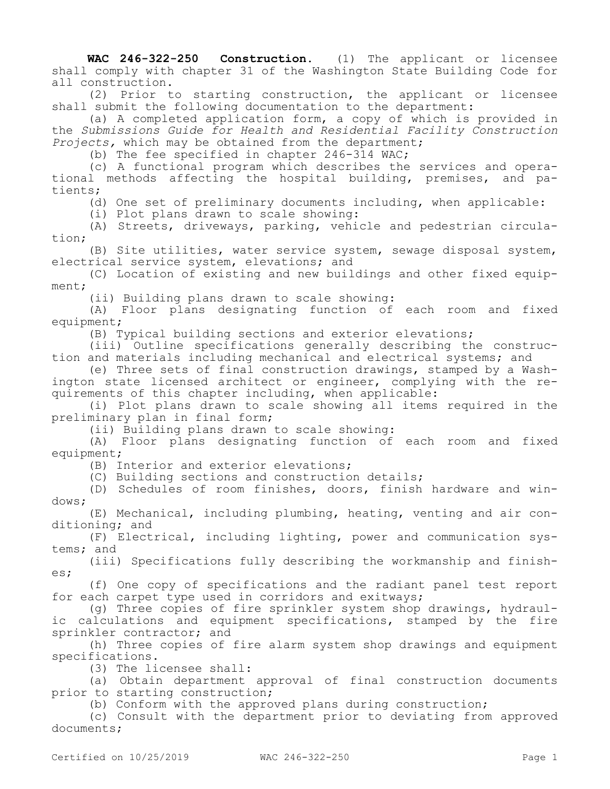**WAC 246-322-250 Construction.** (1) The applicant or licensee shall comply with chapter 31 of the Washington State Building Code for all construction.

(2) Prior to starting construction, the applicant or licensee shall submit the following documentation to the department:

(a) A completed application form, a copy of which is provided in the *Submissions Guide for Health and Residential Facility Construction Projects,* which may be obtained from the department;

(b) The fee specified in chapter 246-314 WAC;

(c) A functional program which describes the services and operational methods affecting the hospital building, premises, and patients;

(d) One set of preliminary documents including, when applicable:

(i) Plot plans drawn to scale showing:

(A) Streets, driveways, parking, vehicle and pedestrian circulation;

(B) Site utilities, water service system, sewage disposal system, electrical service system, elevations; and

(C) Location of existing and new buildings and other fixed equipment;

(ii) Building plans drawn to scale showing:

(A) Floor plans designating function of each room and fixed equipment;

(B) Typical building sections and exterior elevations;

(iii) Outline specifications generally describing the construction and materials including mechanical and electrical systems; and

(e) Three sets of final construction drawings, stamped by a Washington state licensed architect or engineer, complying with the requirements of this chapter including, when applicable:

(i) Plot plans drawn to scale showing all items required in the preliminary plan in final form;

(ii) Building plans drawn to scale showing:

(A) Floor plans designating function of each room and fixed equipment;

(B) Interior and exterior elevations;

(C) Building sections and construction details;

(D) Schedules of room finishes, doors, finish hardware and windows;

(E) Mechanical, including plumbing, heating, venting and air conditioning; and

(F) Electrical, including lighting, power and communication systems; and

(iii) Specifications fully describing the workmanship and finishes;

(f) One copy of specifications and the radiant panel test report for each carpet type used in corridors and exitways;

(g) Three copies of fire sprinkler system shop drawings, hydraulic calculations and equipment specifications, stamped by the fire sprinkler contractor; and

(h) Three copies of fire alarm system shop drawings and equipment specifications.

(3) The licensee shall:

(a) Obtain department approval of final construction documents prior to starting construction;

(b) Conform with the approved plans during construction;

(c) Consult with the department prior to deviating from approved documents;